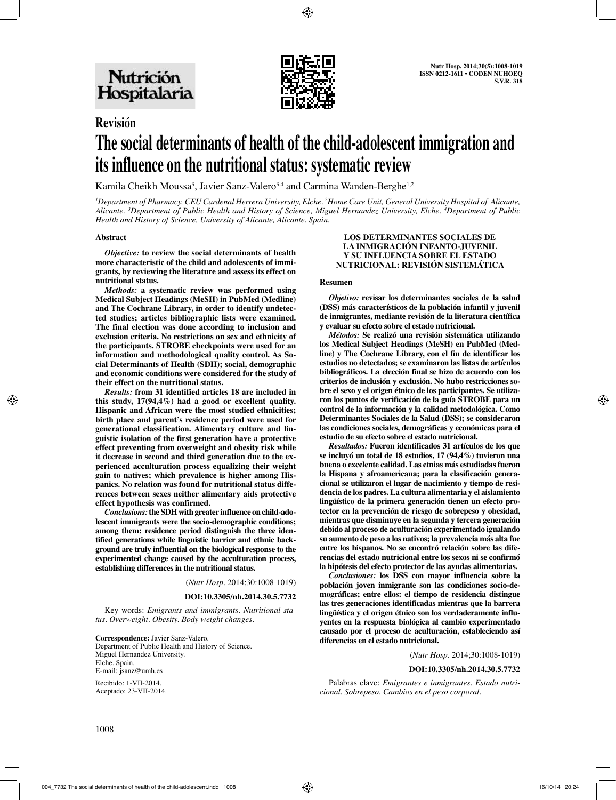

# **Revisión The social determinants of health of the child-adolescent immigration and its influence on the nutritional status: systematic review**

Kamila Cheikh Moussa<sup>3</sup>, Javier Sanz-Valero<sup>3,4</sup> and Carmina Wanden-Berghe<sup>1,2</sup>

*1 Department of Pharmacy, CEU Cardenal Herrera University, Elche. 2 Home Care Unit, General University Hospital of Alicante, Alicante. 3 Department of Public Health and History of Science, Miguel Hernandez University, Elche. 4 Department of Public Health and History of Science, University of Alicante, Alicante. Spain.*

## **Abstract**

*Objective:* **to review the social determinants of health more characteristic of the child and adolescents of immigrants, by reviewing the literature and assess its effect on nutritional status.**

*Methods:* **a systematic review was performed using Medical Subject Headings (MeSH) in PubMed (Medline) and The Cochrane Library, in order to identify undetected studies; articles bibliographic lists were examined. The final election was done according to inclusion and exclusion criteria. No restrictions on sex and ethnicity of the participants. STROBE checkpoints were used for an information and methodological quality control. As Social Determinants of Health (SDH); social, demographic and economic conditions were considered for the study of their effect on the nutritional status.**

*Results:* **from 31 identified articles 18 are included in this study, 17(94,4%) had a good or excellent quality. Hispanic and African were the most studied ethnicities; birth place and parent's residence period were used for generational classification. Alimentary culture and linguistic isolation of the first generation have a protective effect preventing from overweight and obesity risk while it decrease in second and third generation due to the experienced acculturation process equalizing their weight gain to natives; which prevalence is higher among Hispanics. No relation was found for nutritional status differences between sexes neither alimentary aids protective effect hypothesis was confirmed.** 

*Conclusions:* **the SDH with greater influence on child-adolescent immigrants were the socio-demographic conditions; among them: residence period distinguish the three identified generations while linguistic barrier and ethnic background are truly influential on the biological response to the experimented change caused by the acculturation process, establishing differences in the nutritional status.**

(*Nutr Hosp.* 2014;30:1008-1019)

#### **DOI:10.3305/nh.2014.30.5.7732**

Key words: *Emigrants and immigrants. Nutritional status. Overweight. Obesity. Body weight changes.*

**Correspondence:** Javier Sanz-Valero. Department of Public Health and History of Science. Miguel Hernandez University. Elche. Spain. E-mail: jsanz@umh.es Recibido: 1-VII-2014.

#### **LOS DETERMINANTES SOCIALES DE LA INMIGRACIÓN INFANTO-JUVENIL Y SU INFLUENCIA SOBRE EL ESTADO NUTRICIONAL: REVISIÓN SISTEMÁTICA**

#### **Resumen**

*Objetivo:* **revisar los determinantes sociales de la salud (DSS) más característicos de la población infantil y juvenil de inmigrantes, mediante revisión de la literatura científica y evaluar su efecto sobre el estado nutricional.**

*Métodos:* **Se realizó una revisión sistemática utilizando los Medical Subject Headings (MeSH) en PubMed (Medline) y The Cochrane Library, con el fin de identificar los estudios no detectados; se examinaron las listas de artículos bibliográficos. La elección final se hizo de acuerdo con los criterios de inclusión y exclusión. No hubo restricciones sobre el sexo y el origen étnico de los participantes. Se utilizaron los puntos de verificación de la guía STROBE para un control de la información y la calidad metodológica. Como Determinantes Sociales de la Salud (DSS); se consideraron las condiciones sociales, demográficas y económicas para el estudio de su efecto sobre el estado nutricional.** 

*Resultados:* **Fueron identificados 31 artículos de los que se incluyó un total de 18 estudios, 17 (94,4%) tuvieron una buena o excelente calidad. Las etnias más estudiadas fueron la Hispana y afroamericana; para la clasificación generacional se utilizaron el lugar de nacimiento y tiempo de residencia de los padres. La cultura alimentaria y el aislamiento lingüístico de la primera generación tienen un efecto protector en la prevención de riesgo de sobrepeso y obesidad, mientras que disminuye en la segunda y tercera generación debido al proceso de aculturación experimentado igualando su aumento de peso a los nativos; la prevalencia más alta fue entre los hispanos. No se encontró relación sobre las diferencias del estado nutricional entre los sexos ni se confirmó la hipótesis del efecto protector de las ayudas alimentarias.**

*Conclusiones:* **los DSS con mayor influencia sobre la población joven inmigrante son las condiciones socio-demográficas; entre ellos: el tiempo de residencia distingue las tres generaciones identificadas mientras que la barrera lingüística y el origen étnico son los verdaderamente influyentes en la respuesta biológica al cambio experimentado causado por el proceso de aculturación, estableciendo así diferencias en el estado nutricional.**

(*Nutr Hosp.* 2014;30:1008-1019)

#### **DOI:10.3305/nh.2014.30.5.7732**

Palabras clave: *Emigrantes e inmigrantes. Estado nutricional. Sobrepeso. Cambios en el peso corporal.*

Aceptado: 23-VII-2014.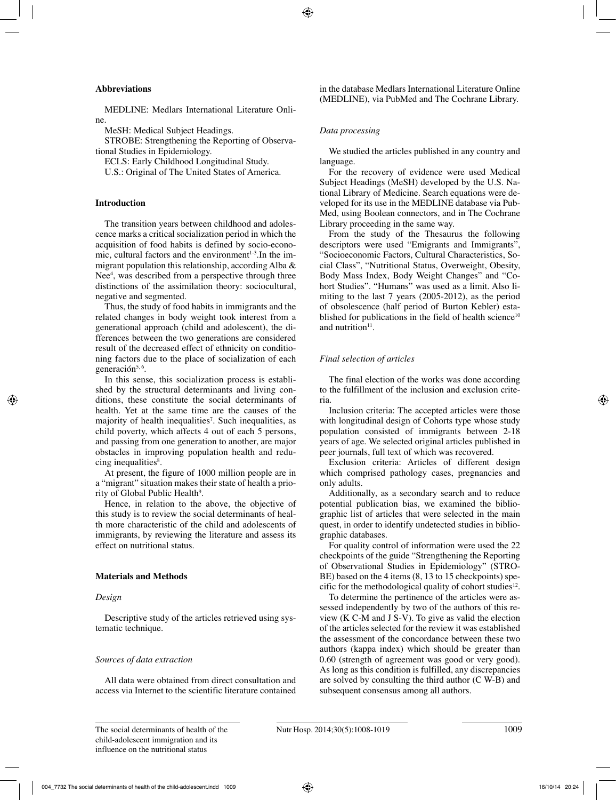# **Abbreviations**

MEDLINE: Medlars International Literature Online.

MeSH: Medical Subject Headings.

STROBE: Strengthening the Reporting of Observational Studies in Epidemiology.

ECLS: Early Childhood Longitudinal Study.

U.S.: Original of The United States of America.

# **Introduction**

The transition years between childhood and adolescence marks a critical socialization period in which the acquisition of food habits is defined by socio-economic, cultural factors and the environment $1-3$ . In the immigrant population this relationship, according Alba & Nee<sup>4</sup>, was described from a perspective through three distinctions of the assimilation theory: sociocultural, negative and segmented.

Thus, the study of food habits in immigrants and the related changes in body weight took interest from a generational approach (child and adolescent), the differences between the two generations are considered result of the decreased effect of ethnicity on conditioning factors due to the place of socialization of each generación<sup>5, 6</sup>.

In this sense, this socialization process is established by the structural determinants and living conditions, these constitute the social determinants of health. Yet at the same time are the causes of the majority of health inequalities<sup>7</sup>. Such inequalities, as child poverty, which affects 4 out of each 5 persons, and passing from one generation to another, are major obstacles in improving population health and reducing inequalities<sup>8</sup>.

At present, the figure of 1000 million people are in a "migrant" situation makes their state of health a priority of Global Public Health<sup>9</sup>.

Hence, in relation to the above, the objective of this study is to review the social determinants of health more characteristic of the child and adolescents of immigrants, by reviewing the literature and assess its effect on nutritional status.

# **Materials and Methods**

# *Design*

Descriptive study of the articles retrieved using systematic technique.

# *Sources of data extraction*

All data were obtained from direct consultation and access via Internet to the scientific literature contained in the database Medlars International Literature Online (MEDLINE), via PubMed and The Cochrane Library.

# *Data processing*

We studied the articles published in any country and language.

For the recovery of evidence were used Medical Subject Headings (MeSH) developed by the U.S. National Library of Medicine. Search equations were developed for its use in the MEDLINE database via Pub-Med, using Boolean connectors, and in The Cochrane Library proceeding in the same way.

From the study of the Thesaurus the following descriptors were used "Emigrants and Immigrants", "Socioeconomic Factors, Cultural Characteristics, Social Class", "Nutritional Status, Overweight, Obesity, Body Mass Index, Body Weight Changes" and "Cohort Studies". "Humans" was used as a limit. Also limiting to the last 7 years (2005-2012), as the period of obsolescence (half period of Burton Kebler) established for publications in the field of health science<sup>10</sup> and nutrition $11$ .

# *Final selection of articles*

The final election of the works was done according to the fulfillment of the inclusion and exclusion criteria.

Inclusion criteria: The accepted articles were those with longitudinal design of Cohorts type whose study population consisted of immigrants between 2-18 years of age. We selected original articles published in peer journals, full text of which was recovered.

Exclusion criteria: Articles of different design which comprised pathology cases, pregnancies and only adults.

Additionally, as a secondary search and to reduce potential publication bias, we examined the bibliographic list of articles that were selected in the main quest, in order to identify undetected studies in bibliographic databases.

For quality control of information were used the 22 checkpoints of the guide "Strengthening the Reporting of Observational Studies in Epidemiology" (STRO-BE) based on the 4 items  $(8, 13 \text{ to } 15 \text{ checkpoints})$  specific for the methodological quality of cohort studies<sup>12</sup>.

To determine the pertinence of the articles were assessed independently by two of the authors of this review  $(K C-M$  and  $J S-V$ ). To give as valid the election of the articles selected for the review it was established the assessment of the concordance between these two authors (kappa index) which should be greater than 0.60 (strength of agreement was good or very good). As long as this condition is fulfilled, any discrepancies are solved by consulting the third author (C W-B) and subsequent consensus among all authors.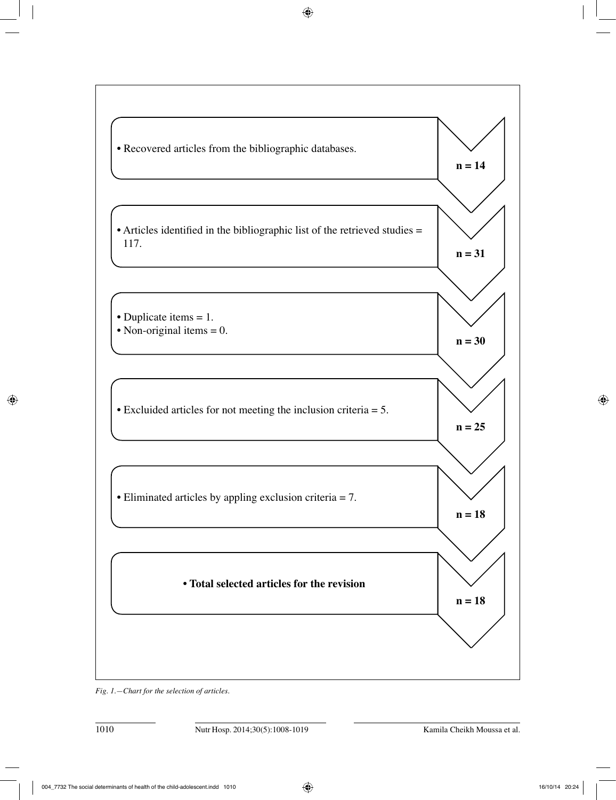

*Fig. 1.—Chart for the selection of articles.*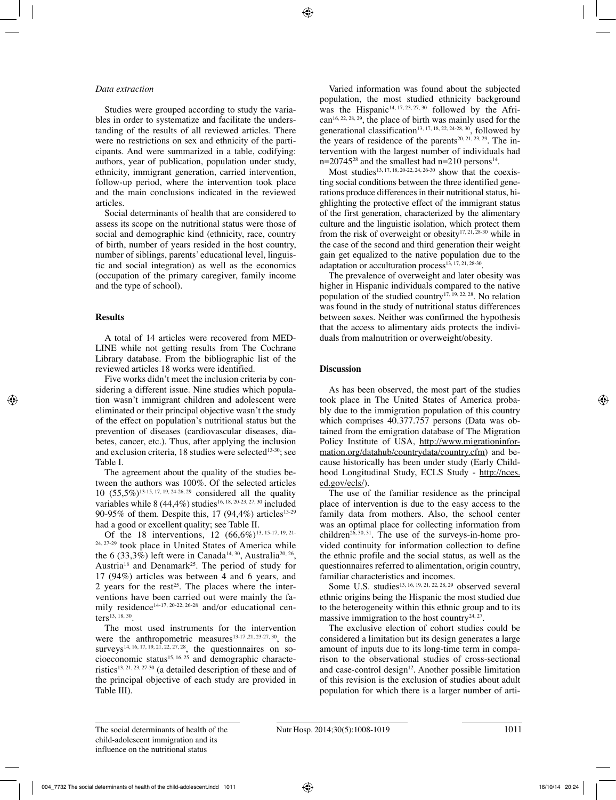#### *Data extraction*

Studies were grouped according to study the variables in order to systematize and facilitate the understanding of the results of all reviewed articles. There were no restrictions on sex and ethnicity of the participants. And were summarized in a table, codifying: authors, year of publication, population under study, ethnicity, immigrant generation, carried intervention, follow-up period, where the intervention took place and the main conclusions indicated in the reviewed articles.

Social determinants of health that are considered to assess its scope on the nutritional status were those of social and demographic kind (ethnicity, race, country of birth, number of years resided in the host country, number of siblings, parents' educational level, linguistic and social integration) as well as the economics (occupation of the primary caregiver, family income and the type of school).

## **Results**

A total of 14 articles were recovered from MED-LINE while not getting results from The Cochrane Library database. From the bibliographic list of the reviewed articles 18 works were identified.

Five works didn't meet the inclusion criteria by considering a different issue. Nine studies which population wasn't immigrant children and adolescent were eliminated or their principal objective wasn't the study of the effect on population's nutritional status but the prevention of diseases (cardiovascular diseases, diabetes, cancer, etc.). Thus, after applying the inclusion and exclusion criteria, 18 studies were selected<sup>13-30</sup>; see Table I.

The agreement about the quality of the studies between the authors was 100%. Of the selected articles 10 (55,5%)13-15, 17, 19, 24-26, 29 considered all the quality variables while 8 (44,4%) studies<sup>16, 18, 20-23, 27, 30</sup> included 90-95% of them. Despite this, 17 (94,4%) articles<sup>13-29</sup> had a good or excellent quality; see Table II.

Of the 18 interventions, 12  $(66,6\%)$ <sup>13, 15-17, 19, 21-1</sup> 24, 27-29 took place in United States of America while the 6 (33,3%) left were in Canada<sup>14, 30</sup>, Australia<sup>20, 26</sup>, Austria<sup>18</sup> and Denamark<sup>25</sup>. The period of study for 17 (94%) articles was between 4 and 6 years, and 2 years for the rest<sup>25</sup>. The places where the interventions have been carried out were mainly the family residence<sup>14-17, 20-22, 26-28</sup> and/or educational centers<sup>13, 18, 30</sup>.

The most used instruments for the intervention were the anthropometric measures<sup>13-17, 21, 23-27, 30</sup>, the surveys<sup>14, 16, 17, 19, 21, 22, 27, 28</sup>, the questionnaires on socioeconomic status<sup>15, 16, 25</sup> and demographic characteristics<sup>13, 21, 23, 27-30</sup> (a detailed description of these and of the principal objective of each study are provided in Table III).

Varied information was found about the subjected population, the most studied ethnicity background was the Hispanic<sup>14, 17, 23, 27, 30</sup> followed by the African16, 22, 28, 29, the place of birth was mainly used for the generational classification<sup>13, 17, 18, 22, 24-28, 30</sup>, followed by the years of residence of the parents<sup>20, 21, 23, 29</sup>. The intervention with the largest number of individuals had  $n=20745^{28}$  and the smallest had  $n=210$  persons<sup>14</sup>.

Most studies<sup>13, 17, 18, 20-22, 24, 26-30</sup> show that the coexisting social conditions between the three identified generations produce differences in their nutritional status, highlighting the protective effect of the immigrant status of the first generation, characterized by the alimentary culture and the linguistic isolation, which protect them from the risk of overweight or obesity<sup>17, 21, 28-30</sup> while in the case of the second and third generation their weight gain get equalized to the native population due to the adaptation or acculturation process $13, 17, 21, 28, 30$ .

The prevalence of overweight and later obesity was higher in Hispanic individuals compared to the native population of the studied country<sup>17, 19, 22, 28</sup>. No relation was found in the study of nutritional status differences between sexes. Neither was confirmed the hypothesis that the access to alimentary aids protects the individuals from malnutrition or overweight/obesity.

#### **Discussion**

As has been observed, the most part of the studies took place in The United States of America probably due to the immigration population of this country which comprises 40.377.757 persons (Data was obtained from the emigration database of The Migration Policy Institute of USA, http://www.migrationinformation.org/datahub/countrydata/country.cfm) and because historically has been under study (Early Childhood Longitudinal Study, ECLS Study - http://nces. ed.gov/ecls/).

The use of the familiar residence as the principal place of intervention is due to the easy access to the family data from mothers. Also, the school center was an optimal place for collecting information from children<sup>26, 30, 31</sup>. The use of the surveys-in-home provided continuity for information collection to define the ethnic profile and the social status, as well as the questionnaires referred to alimentation, origin country, familiar characteristics and incomes.

Some U.S. studies<sup>13, 16, 19, 21, 22, 28, 29</sup> observed several ethnic origins being the Hispanic the most studied due to the heterogeneity within this ethnic group and to its massive immigration to the host country<sup>24, 27</sup>.

The exclusive election of cohort studies could be considered a limitation but its design generates a large amount of inputs due to its long-time term in comparison to the observational studies of cross-sectional and case-control design $12$ . Another possible limitation of this revision is the exclusion of studies about adult population for which there is a larger number of arti-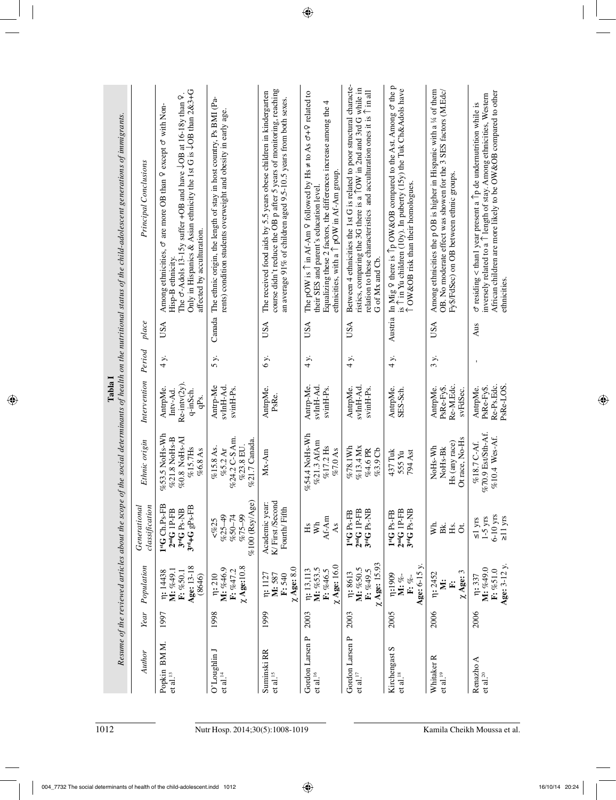| 1012                            |                                                           |      |                                                            | Resume of the reviewed articles about the scope                                  |                                                                     | Tabla I                                                   |        |            | of the social determinants of health on the nutritional status of the child-adolescent generations of immigrants.                                                                                                                                                                                             |
|---------------------------------|-----------------------------------------------------------|------|------------------------------------------------------------|----------------------------------------------------------------------------------|---------------------------------------------------------------------|-----------------------------------------------------------|--------|------------|---------------------------------------------------------------------------------------------------------------------------------------------------------------------------------------------------------------------------------------------------------------------------------------------------------------|
|                                 | Author                                                    | Year | Population                                                 | classification<br>Generational                                                   | Ethnic origin                                                       | Intervention                                              | Period | place      | Principal Conclusions                                                                                                                                                                                                                                                                                         |
|                                 | Popkin BMM.<br>$\mathop{\rm et}\nolimits$ al.<br>$^{13}$  | 1997 | Age: 13-18<br>M: %49.1<br>n: 14438<br>F: %50.1<br>(8646)   | 1 <sup>st</sup> G Ch.Ps-FB<br>$3^{rd}$ +G gPs-FB<br>$2ndG$ IP-FB<br>$3ndG$ Ps-NB | %53.5 NoHs-Wh<br>%0.8 NoHs-AI<br>%21.8 NoHs-B<br>%15.7Hs<br>%6.8 As | $Re-intv(2y)$<br>AntrpMe.<br>q-inSch.<br>Intv-Ad.<br>qPs. | 4 y.   | <b>USA</b> | Only in Hispanics & Asian ethnicity the 1st G is $\sqrt{OB}$ than 2&3+G<br>The $\sigma$ -Adols 13-15y suffer +OB and have $\downarrow$ OB at 16-18y than $\Omega$ .<br>$\sigma$ are more OB than $\varphi$ except $\sigma$ with Non-<br>affected by acculturation.<br>Among ethnicities,<br>Hisp-B ethnicity. |
| Nutr Hosp. 2014;30(5):1008-1019 | O'Loughlin J<br>et al. $\frac{14}{3}$                     | 1998 | $\chi$ Age:10.8<br>M: %46.9<br>$F: \%47.2$<br>$\eta$ : 210 | %100 (Rsy/Age)<br>$%25-49$<br>$%50 - 74$<br>%75-99<br>< 9625                     | %24.2 C-S Am.<br>%21.7 Canada<br>%23.8 EU.<br>%15.8 As.<br>%5.2 Ar  | Antrp-Me<br>svInH-Ad.<br>svinH-Ps.                        | 5 y.   | Canada     | The ethnic origin, the length of stay in host country, Ps BMI (Pa-<br>rents) condition students overweight and obesity in early age.                                                                                                                                                                          |
|                                 | Suminski RR<br>$\mathop{\rm et}\nolimits$ al.<br>$^{15}$  | 1999 | $\chi$ Age: 8.0<br>n: 1127<br>M: 587<br>F: 540             | K/First/Second<br>Academic year:<br>Fourth/Fifth                                 | $Mx-Am$                                                             | AntrpMe.<br>PsRe.                                         | 6 y.   | USA        | course didn't reduce the OB p after 5 years of monitoring, reaching<br>The received food aids by 5.5 years obese children in kindergarten<br>an average 91% of children aged 9.5-10.5 years from both sexes.                                                                                                  |
|                                 | Gordon Larsen P<br>$\mathop{\rm et}\nolimits$ al. $^{16}$ | 2003 | $\chi$ Age: 16.0<br>M: %53.5<br>n: 13,113<br>F: %46.5      | $Af-Am$<br>W <sub>h</sub><br>As<br>Hs                                            | %54.4 NoHs-Wh<br>%21.3 AfAm<br>%17.2 Hs<br>%7.0 As                  | Antrp-Me.<br>svInH-Ad.<br>svinH-Ps.                       | 4 y.   | USA        | The pOW is $\hat{\Gamma}$ in Af-Am $\hat{\varphi}$ followed by Hs $\neq$ to As $\sigma + \hat{\varphi}$ related to<br>Equalizing these 2 factors, the differences increase among the 4<br>ethnicities, with a $\uparrow$ pOW in Af-Am group.<br>their SES and parent's education level                        |
|                                 | Gordon Larsen P<br>$et$ al. $^{17}$                       | 2003 | $\chi$ Age: 15.93<br>n: 8613<br>M: %50.5<br>F: %49.5       | $2ndG$ IP-FB<br>$3rdG$ Ps-NB<br>1 <sup>st</sup> G P <sub>S-FB</sub>              | $%13.4$ Mx<br>%78.1Wh<br>%4.6 PR<br>%3.9 Cb                         | svInH-Ad<br>AntrpMe.<br>svinH-Ps.                         | 4 y.   | <b>USA</b> | Between 4 ethnicities the 1st G is related to poor structural characte-<br>ristics, comparing the 3G there is a TOW in 2nd and 3rd G while in<br>relation to these characteristics and acculturation ones it is $\uparrow$ in all<br>G of Mx and Cb.                                                          |
|                                 | Kirchengast S<br>$et$ al. $^{18}$                         | 2005 | Age: 6-15 y.<br><b>1:1909</b><br>M: %-<br>F: %-            | $2ndG$ 1P-FB<br>$3rdG$ Ps-NB<br>1 <sup>st</sup> G P <sub>S-FB</sub>              | 437 Tuk<br>794 Ast<br>555 Yu                                        | AntrpMe.<br>SES-Sch.                                      | 4 y.   |            | Austria In Mig 9 there is 1p OW&OB compared to the Ast. Among of the p<br>is $\hat{\Gamma}$ in Yu children (10y). In puberty (15y) the Tuk Ch&Adols have $\hat{\Gamma}$ OW&OB risk than their homologues.                                                                                                     |
|                                 | Whitaker <sub>R</sub><br>$et$ al. $^{19}$                 | 2006 | $\chi$ Age: 3<br>n: 2452<br>Ż<br>Ë                         | ΣÁ.<br>Bk.<br>Hs.<br>$\sigma$                                                    | Ot race, No-Hs<br>Hs (any race)<br>NoHs-Wh<br>NoH <sub>s-Bk</sub>   | Re-M.Edc.<br>PsRe-Fy\$.<br>AntrpMe.<br>svFdSec.           | 3 y.   | <b>USA</b> | Among ethnicities the p OB is higher in Hispanic with a $\frac{1}{4}$ of them<br>OB. No moderate effect was showen for the 3 SES factors (M.Edc/<br>Fy\$/FdSec) on OB between ethnic groups.                                                                                                                  |
| Kamila Cheikh Moussa et al.     | Renazho A<br>et al. $^{20}$                               | 2006 | Age: $3-12$ y.<br>M: %49.0<br>$F: \%51.0$<br>r: 337        | $6-10$ yrs<br>$\geq$ 11 yrs<br>$\leq 1$ yrs<br>1-5 yrs                           | %70.9 Est/Sth-Af.<br>$%10.4$ Wes-Af.<br>%18.7 C-Af.                 | Re-Ps.Edc.<br>PsRe-LOS.<br>PsRe-Fy\$.<br>AntrpMe.         |        | Aus        | African children are more likely to be OW&OB compared to other<br>inversely related to a 1 length of stay. Among ethnicities, Western<br>$\sigma$ residing < than1 year present a $\hat{\Gamma}$ p de undernutrition while is<br>ethnicities                                                                  |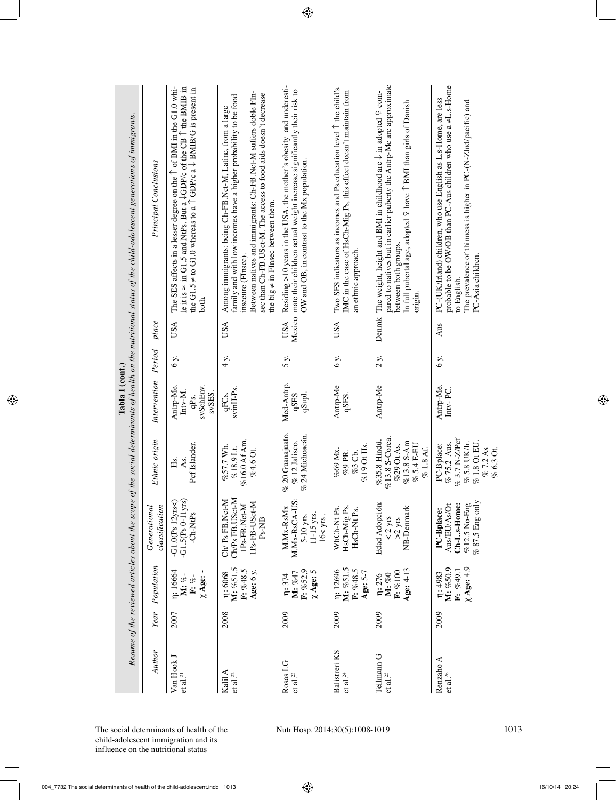|                                                    |      |                                                     |                                                                                 |                                                                                                      |                                                     |         |            | Resume of the reviewed articles about the scope of the social determinants of health on the nutritional status of the child-adolescent generations of immigrants.                                                                                                                                                                  |
|----------------------------------------------------|------|-----------------------------------------------------|---------------------------------------------------------------------------------|------------------------------------------------------------------------------------------------------|-----------------------------------------------------|---------|------------|------------------------------------------------------------------------------------------------------------------------------------------------------------------------------------------------------------------------------------------------------------------------------------------------------------------------------------|
| Author                                             | Year | Population                                          | Generational<br>classification                                                  | Ethnic origin                                                                                        | Intervention                                        | Period  | place      | Principal Conclusions                                                                                                                                                                                                                                                                                                              |
| Van Hook J<br>$et$ al. $^{21}$                     | 2007 | r: 16664<br>$\chi$ Age: -<br>M: %-<br>F: %-         | $-G1.5(Ps 0-11yrs)$<br>$-G1.0(Ps 12yrs5)$<br>$-Ch-NtPs$                         | Pcf Islander.<br>As.<br>Ηs.                                                                          | Antrp-Me.<br>svSchEnv.<br>Intv-M.<br>svSES.<br>qPs. | 6 y.    | <b>USA</b> | The SES affects in a lesser degree on the 1 of BMI in the G1.0 whi-<br>le it is $\approx$ in G1.5 and NtPs. But a $\sqrt{\text{GDP}}$ /c of the CB 1 the BMIB in<br>the G1.5 $\neq$ to G1.0 whereas to a $\uparrow$ GDP/c a $\downarrow$ BMIB/G is present in<br>both.                                                             |
| Kalil A<br>et al. $^{22}$                          | 2008 | M: %51.5<br>F: %48.5<br>Age: 6 y.<br><b>n:</b> 6068 | Ch/Ps FB.USct-M<br>Ch/Ps FB.Nct-M<br>IPs-FB-USct-M<br>1Ps-FB.Nct-M<br>Ps-NB     | %16.0 Af Am.<br>%57.7 Wh.<br>$%18.9$ Lt.<br>%4.6 Ot.                                                 | svinH-Ps.<br>qFCs.                                  | 4 y.    | USA        | Between natives and immigrants: Ch-FB.Nct-M suffers doble FIn-<br>sec than Ch-FB.USct-M. The access to food aids doesn't decrease<br>family and with low incomes have a higher probability to be food<br>Among immigrants: being Ch-FB.Nct-M, Latine, from a large<br>the big $\neq$ in FInsec between them.<br>insecure (FInsec). |
| Rosas LG<br>$\mathop{\rm et}\nolimits$ al. $^{23}$ | 2009 | F: %52,9<br>$\chi$ Age: 5<br>M: %47<br>n: 374       | M.Mx-RsCA-US:<br>M.Mx-RsMx<br>$11-15$ yrs.<br>5-10 yrs.<br>$16 < yrs$ .         | % 20 Guanajuato.<br>% 24 Michoacán.<br>$\%$ 12 Jalisco.                                              | Med-Antrp.<br><b>GSES</b><br>qSupl.                 | 5 y.    | USA        | Residing >10 years in the USA, the mother's obesity and underesti-<br>Mexico mate their children actual weight increase significantly their risk to<br>OW and OB, in contrast to the Mx population.                                                                                                                                |
| Balistreri KS<br>et al. $^{24}$                    | 2009 | M: %51.5<br>$F: \%48.5$<br>n: 12696<br>Age: 5-7     | HsCh-Mig Ps.<br>WhCh-Nt Ps.<br>HsCh-Nt Ps.                                      | $\%19$ Ot Hs.<br>%69 Мх.<br>%9 PR.<br>%3 Cb.                                                         | Antrp-Me<br>qSES.                                   | 6 y.    | USA        | Two SES indicators as incomes and Ps education level 1 the child's<br>IMC in the case of HsCh-Mig Ps, this effect doesn't maintain from<br>an ethnic approach.                                                                                                                                                                     |
| Teilmann <sub>G</sub><br>et al. $^{25}$            | 2009 | Age: 4-13<br>$F: \% 100$<br>M: %0<br>n: 276         | Edad Adopción:<br>NB-Denmark<br>$\frac{2 \text{ yrs}}{2 \text{ yrs}}$           | %13.8 S-Corea.<br>%35.8 Hindú.<br>$%13.8 S-Am$<br>%29 Ot As.<br>$\%$ 5.4 E-EU<br>% 1.8 Af.           | Antrp-Me                                            | $2 y$ . |            | pared to natives but in earlier puberty the Antrp-Me are approximate<br>Denmk The weight, height and BMI in childhood are $\downarrow$ in adopted $\varphi$ com-<br>In full pubertal age, adopted $9$ have $1$ BMI than girls of Danish<br>between both groups.<br>origin.                                                         |
| Renzaho A<br>et al. $^{26}$                        | 2009 | $\chi$ Age: 4.9<br>M: %50.9<br>F: %49.1<br>n: 4983  | $% 87.5$ Eng only<br>%12.5 No-Eng<br>Ch-L.s-Home:<br>Aus/EU/As/Ot<br>PC-Bplace: | %3.7N-Z/Pcf<br>% 75.2 Aus.<br>$\%$ 5.8 UK/Ir.<br>% 1.8 Ot EU.<br>PC-Bplace:<br>% 7.2 As<br>% 6.3 Ot. | Antrp-Me.<br>Intv-PC.                               | 6 y.    | Aus        | probable to be OW/OB than PC-Aus children who use $a \neq L$ .s-Home<br>PC-(UK/Irland) children, who use English as L.s-Home, are less<br>The prevalence of thinness is higher in PC-(N-ZInd/pacific) and<br>PC-Asia children.<br>to English.                                                                                      |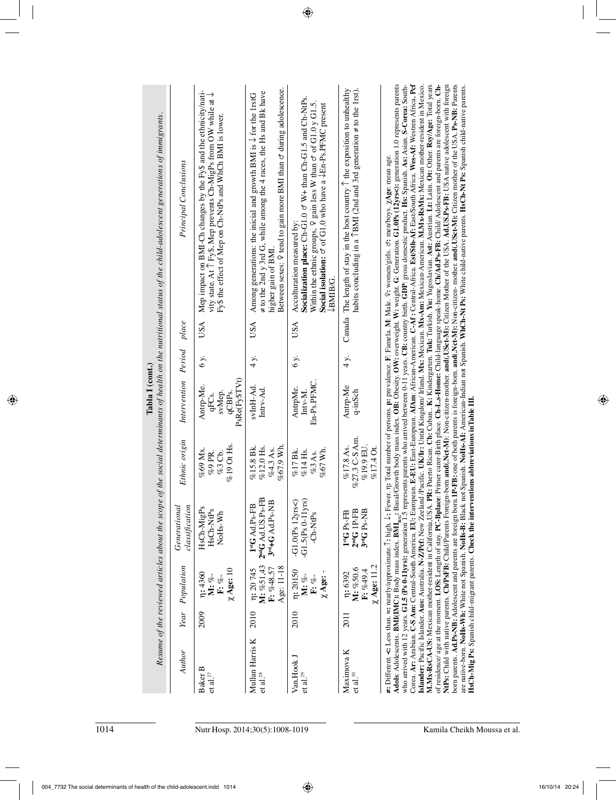| of the social determinants of health on the nutritional status of the child-adolescent generations of immigrants.<br>Principal Conclusions | Mep impact on BMI-Ch changes by the Fy\$ and the ethnicity/nati-<br>vity state. At 1 Fy\$, Mep prevents Ch-MigPs from OW while at $\downarrow$<br>Fy\$ the effect of Mep on Ch-NtPs and WhCh BMI is lower. | Between sexes: 9 tend to gain more BMI than $\sigma$ during adolescence.<br>$\neq$ to the 2nd y 3rd G, while among the 4 races, the Hs and Bk have<br>Among generations: the inicial and growth BMI is $\downarrow$ for the 1rstG<br>higher gain of BMI. | Socialization place: $Ch-G1.0 \text{ } \sigma \text{ } W + \text{than } Ch-G1.5 \text{ and } Ch-NtPs.$<br>Within the ethnic groups, $9$ gain less W than $\sigma$ of G1.0 y G1.5.<br>Social isolation: $\sigma$ of G1.0 who have a $\downarrow$ En-Ps.PFMC present<br>Acculturation measured by:<br>LBMIB/G. | Canada The length of stay in the host country $\uparrow$ the exposition to unhealthy<br>habits concluding in a $\uparrow$ BMI (2nd and 3rd generation $\neq$ to the 1rst). | Adols:cents. BMI(IMC): Body mass index. BMI <sub>86</sub> : Basal/Growth body mass index. OB: Obesity. OW: overweight. W: weight. G: Generation. G1.0Ps (12yrs<): generation 1.0 represents parents<br>Corea. Ar: Arabian. C-S Am: Central-South America. EU: European. E-EU: East-European. AfAm: African-American. C-Af: Central-Africa. Est/Sth-Af: East/South Africa. Wes-Af: Westren Africa. Pef<br>M.Mx-RsCA-US: Mexican mother-resident in California, USA. PR: Puerto Rican. Cb: Cuban K: Kindergarten. Tuk: Turkish. Yu: Yugoslavian. Ast: Austrian. Lt: Latin. Ot: Other. Rsy/Age: Total years<br>Islander: Pacific Islander. Aus: Australia. N-Z/Pcf: New Zeeland /Pacific. UK/Ir: Untid Kingdom/ Irland. Ms: Woxican. Mx-Am: Mexican-American. M.Mx-RsMx: Mexican mother-resident in Mexico.<br>of residence/ age at the moment. LOS: Length of stay. PC-Bplace: Primer carer-Birth place. Ch-L.s-Home: Child-language speak-home. Ch/Ad.Ps-FB: Child/Adolescent and parents are foreign-born. Ch-<br>NtPs: Child with native par<br>IP-FB: one of both parents is foreign-born. and(Nct-M): Non-citizen- mother. and(USct-M): Citizen mother of the USA. Ps-NB: Parents<br>who arrived with 12 years. G1.5 (Ps 0-11yrs): generation 1.5 represents who arrived between 0-11 years. CB: country birth. GDP: gross domestic product. Hs: Spanish. As: Asian. S-Corea: South-<br>are native-born. NoHs-Whi: White not Spanish. NoHs-B: Black not Spanish. NoHs-A1: American-Indian not Spanish. WhCh-Nt Ps: White child-native parents. HsCh-Nt Ps: Spanish child-native parents.<br>≠: Different. <: Less than. ≈: nearly/approximate. (: high. J: Fewer. n; Total number of persons. p: prevalence. F: Famela. M: Male. 9: women/girls. o': men/boys. XAge: mean age. |
|--------------------------------------------------------------------------------------------------------------------------------------------|------------------------------------------------------------------------------------------------------------------------------------------------------------------------------------------------------------|----------------------------------------------------------------------------------------------------------------------------------------------------------------------------------------------------------------------------------------------------------|--------------------------------------------------------------------------------------------------------------------------------------------------------------------------------------------------------------------------------------------------------------------------------------------------------------|----------------------------------------------------------------------------------------------------------------------------------------------------------------------------|-----------------------------------------------------------------------------------------------------------------------------------------------------------------------------------------------------------------------------------------------------------------------------------------------------------------------------------------------------------------------------------------------------------------------------------------------------------------------------------------------------------------------------------------------------------------------------------------------------------------------------------------------------------------------------------------------------------------------------------------------------------------------------------------------------------------------------------------------------------------------------------------------------------------------------------------------------------------------------------------------------------------------------------------------------------------------------------------------------------------------------------------------------------------------------------------------------------------------------------------------------------------------------------------------------------------------------------------------------------------------------------------------------------------------------------------------------------------------------------------------------------------------------------------------------------------------------------------------------------------------------------------------------------------------------------------------------------------------------------------------------------------------------------|
| place                                                                                                                                      | USA                                                                                                                                                                                                        | USA                                                                                                                                                                                                                                                      | USA                                                                                                                                                                                                                                                                                                          |                                                                                                                                                                            |                                                                                                                                                                                                                                                                                                                                                                                                                                                                                                                                                                                                                                                                                                                                                                                                                                                                                                                                                                                                                                                                                                                                                                                                                                                                                                                                                                                                                                                                                                                                                                                                                                                                                                                                                                                   |
| Period                                                                                                                                     | 6 y.                                                                                                                                                                                                       | 4 y.                                                                                                                                                                                                                                                     | 6 y.                                                                                                                                                                                                                                                                                                         | 4 y.                                                                                                                                                                       |                                                                                                                                                                                                                                                                                                                                                                                                                                                                                                                                                                                                                                                                                                                                                                                                                                                                                                                                                                                                                                                                                                                                                                                                                                                                                                                                                                                                                                                                                                                                                                                                                                                                                                                                                                                   |
| Intervention                                                                                                                               | PsRe(Fy\$TVt)<br>Antrp-Me.<br>svMep.<br>qCBP <sub>S</sub> .<br>qFCs.                                                                                                                                       | svInH-Ad<br>Intrv-Ad.                                                                                                                                                                                                                                    | En-Ps.PFMC.<br>AntrpMe.<br>$Inv-M.$                                                                                                                                                                                                                                                                          | Antrp-Me<br>q-inSch                                                                                                                                                        |                                                                                                                                                                                                                                                                                                                                                                                                                                                                                                                                                                                                                                                                                                                                                                                                                                                                                                                                                                                                                                                                                                                                                                                                                                                                                                                                                                                                                                                                                                                                                                                                                                                                                                                                                                                   |
| Ethnic origin                                                                                                                              | %19 Ot Hs.<br>%69 Mx.<br>%9 PR.<br>%3 Cb.                                                                                                                                                                  | %67.9 Wh.<br>%12.0 Hs.<br>%15.8 Bk.<br>%4.3 As.                                                                                                                                                                                                          | %67 Wh.<br>%17 Bk.<br>%14 Hs.<br>%3 As.                                                                                                                                                                                                                                                                      | %27.3 C-S Am.<br>%19.9 EU.<br>%17.8As.<br>%17.4 Ot.                                                                                                                        |                                                                                                                                                                                                                                                                                                                                                                                                                                                                                                                                                                                                                                                                                                                                                                                                                                                                                                                                                                                                                                                                                                                                                                                                                                                                                                                                                                                                                                                                                                                                                                                                                                                                                                                                                                                   |
| classification<br>Generational                                                                                                             | HsCh-MigPs<br>HsCh-NtPs<br>NoH <sub>s</sub> -Wh                                                                                                                                                            | $2ndG$ Ad. US. Ps-FB<br>$3nd+G$ Ad.Ps-NB<br>1 <sup>st</sup> G Ad.Ps-FB                                                                                                                                                                                   | $-G1.5(Ps 0-11yrs)$<br>$-G1.0(Ps 12yrs)$<br>-Ch-NtPs                                                                                                                                                                                                                                                         | $2ndG$ $1P$ -FB<br>$3rdG$ Ps-NB<br>1 <sup>st</sup> G <sub>Ps-FB</sub>                                                                                                      | HsCh-Mig Ps: Spanish child-migrant parents. Check the interventions abbreviations in Table III.<br>born parents. Ad.Ps-NB: Adolescent and parents are foreign born.                                                                                                                                                                                                                                                                                                                                                                                                                                                                                                                                                                                                                                                                                                                                                                                                                                                                                                                                                                                                                                                                                                                                                                                                                                                                                                                                                                                                                                                                                                                                                                                                               |
| Population                                                                                                                                 | $\chi$ Age: 10<br>n: 4360<br>M: %-<br>F: %-                                                                                                                                                                | M: %51,43<br>Age: 11-18<br>$F: \%48.57$<br>r: 20 745                                                                                                                                                                                                     | r: 20150<br>$\chi$ Age: -<br>M: %-<br>$F: \%$ -                                                                                                                                                                                                                                                              | $\chi$ Age: 11.2<br>M: %50.6<br>$F: \%49.4$<br>n: 6392                                                                                                                     |                                                                                                                                                                                                                                                                                                                                                                                                                                                                                                                                                                                                                                                                                                                                                                                                                                                                                                                                                                                                                                                                                                                                                                                                                                                                                                                                                                                                                                                                                                                                                                                                                                                                                                                                                                                   |
| Year                                                                                                                                       | 2009                                                                                                                                                                                                       | 2010                                                                                                                                                                                                                                                     | 2010                                                                                                                                                                                                                                                                                                         | 2011                                                                                                                                                                       |                                                                                                                                                                                                                                                                                                                                                                                                                                                                                                                                                                                                                                                                                                                                                                                                                                                                                                                                                                                                                                                                                                                                                                                                                                                                                                                                                                                                                                                                                                                                                                                                                                                                                                                                                                                   |
| Resume of the reviewed articles about the scope<br>Author                                                                                  | Baker B<br>et al. $^{27}$                                                                                                                                                                                  | Mullan Harris K<br>$et$ al. $^{28}$                                                                                                                                                                                                                      | Van.Hook J<br>$\mathop{\rm et}\nolimits$ al. $^{29}$                                                                                                                                                                                                                                                         | Maximova K<br>$\mathop{\rm et}\nolimits$ al. $^{30}$                                                                                                                       |                                                                                                                                                                                                                                                                                                                                                                                                                                                                                                                                                                                                                                                                                                                                                                                                                                                                                                                                                                                                                                                                                                                                                                                                                                                                                                                                                                                                                                                                                                                                                                                                                                                                                                                                                                                   |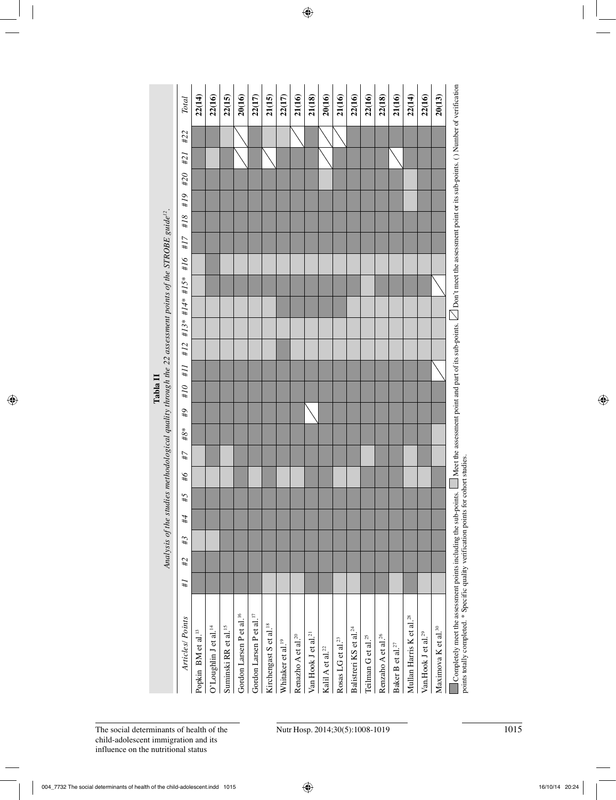|                                                                                                                     | $\operatorname{Total}$                         | 22(14)                         | 22(16)                            | 22(15)                           | 20(16)                               | 22(17)                               | 21(15)                             | 22(17)                        | 21(16)                         | 21(18)                          | 20(16)                       | 21(16)                          | 22(16)                             | 22(16)                         | 22(18)                         | 21(16)                       | 22(14)                               | 22(16)                          | 20(13)                          |
|---------------------------------------------------------------------------------------------------------------------|------------------------------------------------|--------------------------------|-----------------------------------|----------------------------------|--------------------------------------|--------------------------------------|------------------------------------|-------------------------------|--------------------------------|---------------------------------|------------------------------|---------------------------------|------------------------------------|--------------------------------|--------------------------------|------------------------------|--------------------------------------|---------------------------------|---------------------------------|
|                                                                                                                     | #21 #22                                        |                                |                                   |                                  |                                      |                                      |                                    |                               |                                |                                 |                              |                                 |                                    |                                |                                |                              |                                      |                                 |                                 |
|                                                                                                                     |                                                |                                |                                   |                                  |                                      |                                      |                                    |                               |                                |                                 |                              |                                 |                                    |                                |                                |                              |                                      |                                 |                                 |
|                                                                                                                     |                                                |                                |                                   |                                  |                                      |                                      |                                    |                               |                                |                                 |                              |                                 |                                    |                                |                                |                              |                                      |                                 |                                 |
|                                                                                                                     |                                                |                                |                                   |                                  |                                      |                                      |                                    |                               |                                |                                 |                              |                                 |                                    |                                |                                |                              |                                      |                                 |                                 |
|                                                                                                                     |                                                |                                |                                   |                                  |                                      |                                      |                                    |                               |                                |                                 |                              |                                 |                                    |                                |                                |                              |                                      |                                 |                                 |
|                                                                                                                     |                                                |                                |                                   |                                  |                                      |                                      |                                    |                               |                                |                                 |                              |                                 |                                    |                                |                                |                              |                                      |                                 |                                 |
|                                                                                                                     |                                                |                                |                                   |                                  |                                      |                                      |                                    |                               |                                |                                 |                              |                                 |                                    |                                |                                |                              |                                      |                                 |                                 |
|                                                                                                                     |                                                |                                |                                   |                                  |                                      |                                      |                                    |                               |                                |                                 |                              |                                 |                                    |                                |                                |                              |                                      |                                 |                                 |
|                                                                                                                     |                                                |                                |                                   |                                  |                                      |                                      |                                    |                               |                                |                                 |                              |                                 |                                    |                                |                                |                              |                                      |                                 |                                 |
|                                                                                                                     | #10 #11 #12 #13* #14* #15* #16 #17 #18 #19 #20 |                                |                                   |                                  |                                      |                                      |                                    |                               |                                |                                 |                              |                                 |                                    |                                |                                |                              |                                      |                                 |                                 |
|                                                                                                                     |                                                |                                |                                   |                                  |                                      |                                      |                                    |                               |                                |                                 |                              |                                 |                                    |                                |                                |                              |                                      |                                 |                                 |
| Tabla II                                                                                                            |                                                |                                |                                   |                                  |                                      |                                      |                                    |                               |                                |                                 |                              |                                 |                                    |                                |                                |                              |                                      |                                 |                                 |
| Analysis of the studies methodological quality through the 22 assessment points of the STROBE guide <sup>12</sup> . | 6#                                             |                                |                                   |                                  |                                      |                                      |                                    |                               |                                |                                 |                              |                                 |                                    |                                |                                |                              |                                      |                                 |                                 |
|                                                                                                                     | #8*                                            |                                |                                   |                                  |                                      |                                      |                                    |                               |                                |                                 |                              |                                 |                                    |                                |                                |                              |                                      |                                 |                                 |
|                                                                                                                     | #7                                             |                                |                                   |                                  |                                      |                                      |                                    |                               |                                |                                 |                              |                                 |                                    |                                |                                |                              |                                      |                                 |                                 |
|                                                                                                                     | #6                                             |                                |                                   |                                  |                                      |                                      |                                    |                               |                                |                                 |                              |                                 |                                    |                                |                                |                              |                                      |                                 |                                 |
|                                                                                                                     | 5#                                             |                                |                                   |                                  |                                      |                                      |                                    |                               |                                |                                 |                              |                                 |                                    |                                |                                |                              |                                      |                                 |                                 |
|                                                                                                                     | #4                                             |                                |                                   |                                  |                                      |                                      |                                    |                               |                                |                                 |                              |                                 |                                    |                                |                                |                              |                                      |                                 |                                 |
|                                                                                                                     | #3                                             |                                |                                   |                                  |                                      |                                      |                                    |                               |                                |                                 |                              |                                 |                                    |                                |                                |                              |                                      |                                 |                                 |
|                                                                                                                     | #2                                             |                                |                                   |                                  |                                      |                                      |                                    |                               |                                |                                 |                              |                                 |                                    |                                |                                |                              |                                      |                                 |                                 |
|                                                                                                                     | #I                                             |                                |                                   |                                  |                                      |                                      |                                    |                               |                                |                                 |                              |                                 |                                    |                                |                                |                              |                                      |                                 |                                 |
|                                                                                                                     |                                                |                                |                                   |                                  |                                      |                                      |                                    |                               |                                |                                 |                              |                                 |                                    |                                |                                |                              |                                      |                                 |                                 |
|                                                                                                                     | Articles/Points                                |                                |                                   |                                  |                                      |                                      |                                    |                               |                                |                                 |                              |                                 |                                    |                                |                                |                              |                                      |                                 |                                 |
|                                                                                                                     |                                                |                                |                                   |                                  |                                      |                                      |                                    |                               |                                |                                 |                              |                                 |                                    |                                |                                |                              |                                      |                                 |                                 |
|                                                                                                                     |                                                | Popkin BM et al. <sup>13</sup> | O'Loughlin J et al. <sup>14</sup> | Suminski RR et al. <sup>15</sup> | Gordon Larsen P et al. <sup>16</sup> | Gordon Larsen P et al. <sup>17</sup> | Kirchengast S et al. <sup>18</sup> | Whitaker et al. <sup>19</sup> | Renazho A et al. <sup>20</sup> | Van Hook J et al. <sup>21</sup> | Kalil A et al. <sup>22</sup> | Rosas LG et al. <sup>23</sup>   | Balistreri KS et al. <sup>24</sup> | Teilman G et al. <sup>25</sup> | Renzaho A et al. <sup>26</sup> | Baker B et al. <sup>27</sup> | Mullan Harris K et al. <sup>28</sup> | Van.Hook J et al. <sup>29</sup> | Maximova K et al. <sup>30</sup> |
|                                                                                                                     |                                                |                                |                                   |                                  |                                      |                                      |                                    |                               |                                |                                 |                              |                                 |                                    |                                |                                |                              |                                      |                                 |                                 |
| The social determinants of health of the<br>child-adolescent immigration and its                                    |                                                |                                |                                   |                                  |                                      |                                      |                                    |                               |                                |                                 |                              | Nutr Hosp. 2014;30(5):1008-1019 |                                    |                                |                                |                              |                                      |                                 |                                 |

points totally completed. \* Specific quality verification points for cohort studies. points totally completed. \* Specific quality verification points for cohort studies.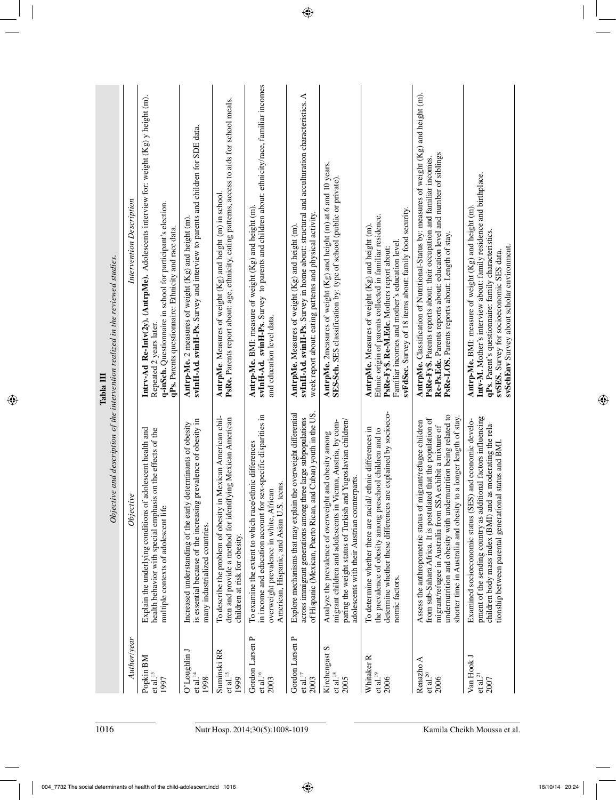| Objective and description of the intervention realized in the reviewed studies.<br>Tabla III | Intervention Description | Intrv-Ad Re-Intv( $2y$ ). (AntrpMe). Adolescents interview for: weight $(Kg)$ y height (m).<br>q-inSch. Questionnaire in school for participant's election.<br>qPs. Parents questionnaire: Ethnicity and race data.<br>Repeated 2 years later. | svInH-Ad. svinH-Ps. Survey and interview to parents and children for SDE data.<br>Antrp-Me. 2 measures of weight (Kg) and height (m).                                   | PsRe. Parents report about: age, ethnicity, eating patterns, access to aids for school meals.<br>AntrpMe. Measures of weight (Kg) and height (m) in school.     | svInH-Ad. svinH-Ps. Survey to parents and children about: ethnicity/race, familiar incomes<br>Antrp-Me. BMI: measure of weight (Kg) and height (m).<br>and education level data.                                        | svInH-Ad. svinH-Ps. Survey in home about: structural and acculturation characteristics. A<br>week report about: eating patterns and physical activity.<br>AntrpMe. Measures of weight (Kg) and height (m). | AntrpMe. 2measures of weight (Kg) and height (m) at 6 and 10 years.<br>SES-Sch. SES classification by: type of school (public or private).                                                                                               | svFdSec. Survey of 18 items about: family food security.<br>Ethnic origin of parents collected in familiar residence.<br>AntrpMe. Measures of weight (Kg) and height (m).<br>Familiar incomes and mother's education level<br>PsRe-Fy\$. Re-M.Edc. Mothers report about: | AntrpMe. Classification of Nutritional-Status by: measures of weight (Kg) and height (m).<br>Re-Ps.Edc. Parents reports about: education level and number of siblings<br>PsRe-Fy\$. Parents reports about: their occupation and familiar incomes.<br>PsRe-LOS. Parents reports about: Length of stay.                                    | Intv-M. Mother's interview about: family residence and birthplace.<br><b>Antrp-Me.</b> BMI: measure of weight $(Kg)$ and height $(m)$<br>qPs. Parent's questionnaire: family characteristics.<br>svSchEnv Survey about scholar environment.<br>svSES. Survey for socioeconomic SES data. |
|----------------------------------------------------------------------------------------------|--------------------------|------------------------------------------------------------------------------------------------------------------------------------------------------------------------------------------------------------------------------------------------|-------------------------------------------------------------------------------------------------------------------------------------------------------------------------|-----------------------------------------------------------------------------------------------------------------------------------------------------------------|-------------------------------------------------------------------------------------------------------------------------------------------------------------------------------------------------------------------------|------------------------------------------------------------------------------------------------------------------------------------------------------------------------------------------------------------|------------------------------------------------------------------------------------------------------------------------------------------------------------------------------------------------------------------------------------------|--------------------------------------------------------------------------------------------------------------------------------------------------------------------------------------------------------------------------------------------------------------------------|------------------------------------------------------------------------------------------------------------------------------------------------------------------------------------------------------------------------------------------------------------------------------------------------------------------------------------------|------------------------------------------------------------------------------------------------------------------------------------------------------------------------------------------------------------------------------------------------------------------------------------------|
|                                                                                              | Objective                | adolescent health and<br>health behavior with special emphasis on the effects of the<br>Explain the underlying conditions of<br>multiple contexts of adolescent life                                                                           | prevalence of obesity in<br>determinants of obesity<br>is essential because of the increasing<br>Increased understanding of the early<br>many industrialized countries. | To describe the problem of obesity in Mexican American chil-<br>ying Mexican American<br>dren and provide a method for identif<br>children at risk for obesity. | sex-specific disparities in<br>To examine the extent to which race/ethnic differences<br>teens.<br>overweight prevalence in white, African<br>in income and education account for<br>American, Hispanic, and Asian U.S. | the overweight differential<br>of Hispanic (Mexican, Puerto Rican, and Cuban) youth in the US<br>across immigrant generations among three large subpopulations<br>Explore mechanisms that may explain      | paring the weight status of Turkish and Yugoslavian children/<br>migrant children and adolescents in Vienna, Austria, by com-<br>Analyze the prevalence of overweight and obesity among<br>adolescents with their Austrian counterparts. | determine whether these differences are explained by socioeco-<br>/ ethnic differences in<br>the prevalence of obesity among preschool children and to<br>To determine whether there are racial<br>nomic factors.                                                        | undernutrition and obesity with undernutrition being related to<br>to a longer length of stay.<br>from sub-Sahara Africa. It is postulated that the population of<br>Assess the anthropometric status of migrant/refugee children<br>migrant/refugee in Australia from SSA exhibit a mixture of<br>shorter time in Australia and obesity | pment of the sending country as additional factors influencing<br>Examined socioeconomic status (SES) and economic develo-<br>as moderating the rela-<br>tionship between parental generational status and BMI.<br>children body mass index (BMI) and                                    |
|                                                                                              | Author/year              | Popkin BM<br>$et$ al. $^{\rm I3}$<br>1997                                                                                                                                                                                                      | UnildguoL'O<br>et al. $\frac{14}{14}$<br>1998                                                                                                                           | Suminski RR<br>et al. <sup>15</sup><br>1999                                                                                                                     | Gordon Larsen P<br>et al. $^{16}$<br>2003                                                                                                                                                                               | Gordon Larsen P<br>et al. $^{17}$<br>2003                                                                                                                                                                  | Kirchengast S<br>$et$ al. $^{18}$<br>2005                                                                                                                                                                                                | Whitaker <sub>R</sub><br>$et$ al. $^{19}$<br>2006                                                                                                                                                                                                                        | Renazho A<br>et al. $^{20}$<br>2006                                                                                                                                                                                                                                                                                                      | Van Hook J<br>$et$ al. $^{21}$<br>2007                                                                                                                                                                                                                                                   |
| 1016                                                                                         |                          |                                                                                                                                                                                                                                                |                                                                                                                                                                         |                                                                                                                                                                 | Nutr Hosp. 2014;30(5):1008-1019                                                                                                                                                                                         |                                                                                                                                                                                                            |                                                                                                                                                                                                                                          |                                                                                                                                                                                                                                                                          |                                                                                                                                                                                                                                                                                                                                          | Kamila Cheikh Moussa et al                                                                                                                                                                                                                                                               |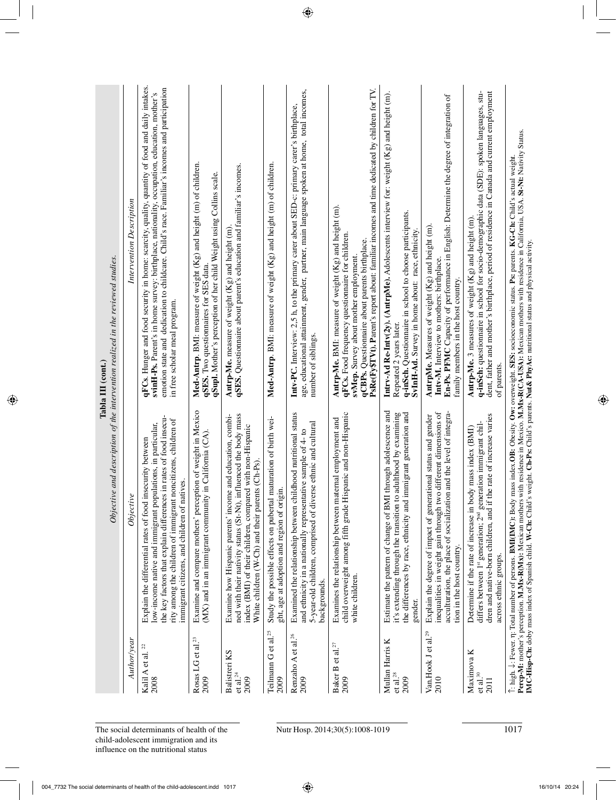|                                                |                                                                                                                                                                                                                                                                                                                   | $Objective$ and description of the intervention realized in the reviewed studies.<br>Tabla III (cont.)                                                                                                                                                                                                                          |
|------------------------------------------------|-------------------------------------------------------------------------------------------------------------------------------------------------------------------------------------------------------------------------------------------------------------------------------------------------------------------|---------------------------------------------------------------------------------------------------------------------------------------------------------------------------------------------------------------------------------------------------------------------------------------------------------------------------------|
| Author/year                                    | Objective                                                                                                                                                                                                                                                                                                         | Intervention Description                                                                                                                                                                                                                                                                                                        |
| g<br>Kalil A et al.<br>2008                    | the key factors that explain differences in rates of food insecu-<br>rity among the children of immigrant noncitizens, children of<br>low-income native and immigrant populations, in particular,<br>insecurity between<br>immigrant citizens, and children of natives.<br>Explain the differential rates of food | qFCs. Hunger and food security in home: scarcity, quality, quantity of food and daily intakes.<br>emotion state and dedication to childcare. Child's race. Familiar's incomes and participation<br>svinH-Ps. Parent's in home survey: birthplace, nationality, occupation, education, mother's<br>in free scholar meal program. |
| et al. $^{23}$<br>Rosas LG<br>2009             | Examine and compare mothers' perception of weight in Mexico<br>(MX) and in an immigrant community in California (CA).                                                                                                                                                                                             | Med-Antrp. BMI: measure of weight (Kg) and height (m) of children.<br>qSupl. Mother's perception of her child Weight using Collins scale.<br>qSES. Two questionnaires for SES data.                                                                                                                                             |
| <b>Balistreri KS</b><br>et al. $^{24}$<br>2009 | influenced the body mass<br>Examine how Hispanic parents' income and education, combi-<br>index (BMI) of their children, compared with non-Hispanic<br>White children (W-Ch) and their parents (Ch-Ps).<br>ned with their nativity status (St-Nt),                                                                | qSES. Questionnaire about parent's education and familiar's incomes.<br>Antrp-Me. measure of weight (Kg) and height (m)                                                                                                                                                                                                         |
| Teilmann G et al. <sup>25</sup><br>2009        | maturation of birth wei-<br>ght, age at adoption and region of origin.<br>Study the possible effects on pubertal                                                                                                                                                                                                  | Med-Antrp. BMI: measure of weight (Kg) and height (m) of children.                                                                                                                                                                                                                                                              |
| Renzaho A et al. <sup>26</sup><br>2009         | Examined the relationship between childhood nutritional status<br>5-year-old children, comprised of diverse ethnic and cultural<br>and ethnicity in a nationally representative sample of 4- to<br>backgrounds.                                                                                                   | age, educational attainment, gender, partner, main language spoken at home, total incomes,<br>Intv-PC. Interview: 2,5 h, to the primary carer about SED-c: primary carer's birthplace,<br>number of siblings.                                                                                                                   |
| et al. $^{27}$<br>Baker B<br>2009              | child overweight among fifth grade Hispanic and non-Hispanic<br>Examines the relationship between maternal employment and<br>white children.                                                                                                                                                                      | PsRe(Fy\$TVt). Parent's report about: familiar incomes and time dedicated by children for TV.<br><b>Antrp-Me.</b> BMI: measure of weight (Kg) and height (m).<br>qFCs. Food frequency questionnaire for children.<br>qCBPs. Questionnaire about parents birthplace.<br>svMep. Survey about mother employment.                   |
| Mullan Harris K<br>$et$ al. $^{28}$<br>2009    | Estimate the pattern of change of BMI through adolescence and<br>immigrant generation and<br>it's extending through the transition to adulthood by examining<br>the differences by race, ethnicity and<br>gender.                                                                                                 | $Intry-Ad Re-Intv(2y)$ . (AntrpMe). Adolescents interview for: weight $(Kg)$ and height (m).<br>q-inSch. Questionnaire in school to choose participants.<br>SvInH-Ad. Survey in home about: race, ethnicity.<br>Repeated 2 years later.                                                                                         |
| Van.Hook J et al. <sup>29</sup><br>2010        | inequalities in weight gain through two different dimensions of<br>acculturation, the place of socialization and the level of integra-<br>Explain the degree of impact of generational status and gender<br>tion in the host country.                                                                             | En-Ps. PFMC Capacity of performance in English: Determine the degree of integration of<br>AntrpMe. Measures of weight (Kg) and height (m).<br>Intv-M. Interview to mothers: birthplace<br>family members in the host country.                                                                                                   |
| Maximova K<br>$et$ al. $30$<br>2011            | dren and native-born children, and if the rate of increase varies<br>differs between 1 <sup>st</sup> generation; 2 <sup>nd</sup> generation immigrant chil-<br>Determine if the rate of increase in body mass index (BMI)<br>across ethnic groups.                                                                | dent, father and mother's birthplace, period of residence in Canada and current employment<br>q-inSch: questionnaire in school for socio-demographic data (SDE): spoken languages, stu-<br>Antrp-Me. 3 measures of weight (Kg) and height (m).<br>of parents.                                                                   |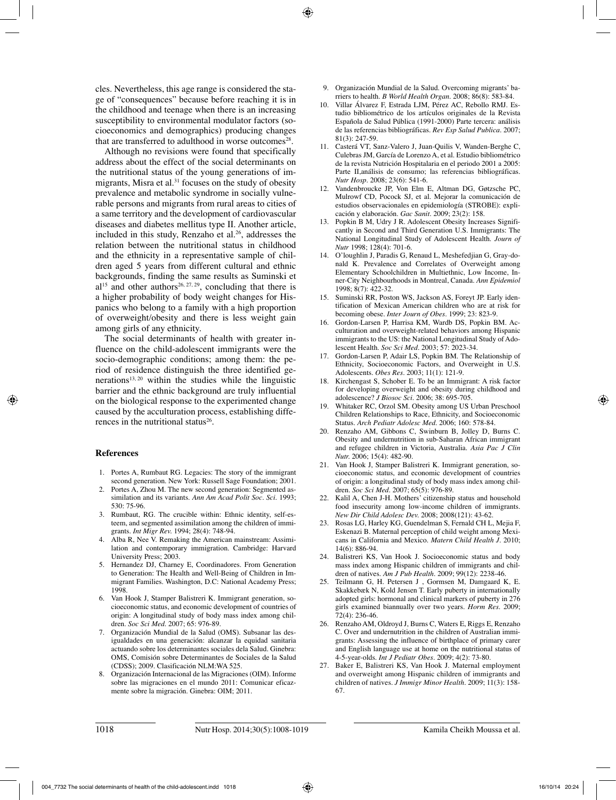cles. Nevertheless, this age range is considered the stage of "consequences" because before reaching it is in the childhood and teenage when there is an increasing susceptibility to environmental modulator factors (socioeconomics and demographics) producing changes that are transferred to adulthood in worse outcomes<sup>28</sup>.

Although no revisions were found that specifically address about the effect of the social determinants on the nutritional status of the young generations of immigrants, Misra et al. $31$  focuses on the study of obesity prevalence and metabolic syndrome in socially vulnerable persons and migrants from rural areas to cities of a same territory and the development of cardiovascular diseases and diabetes mellitus type II. Another article, included in this study, Renzaho et al. $26$ , addresses the relation between the nutritional status in childhood and the ethnicity in a representative sample of children aged 5 years from different cultural and ethnic backgrounds, finding the same results as Suminski et  $al<sup>15</sup>$  and other authors<sup>26, 27, 29</sup>, concluding that there is a higher probability of body weight changes for Hispanics who belong to a family with a high proportion of overweight/obesity and there is less weight gain among girls of any ethnicity.

The social determinants of health with greater influence on the child-adolescent immigrants were the socio-demographic conditions; among them: the period of residence distinguish the three identified generations<sup>13, 20</sup> within the studies while the linguistic barrier and the ethnic background are truly influential on the biological response to the experimented change caused by the acculturation process, establishing differences in the nutritional status $26$ .

#### **References**

- 1. Portes A, Rumbaut RG. Legacies: The story of the immigrant second generation. New York: Russell Sage Foundation; 2001.
- Portes A, Zhou M. The new second generation: Segmented assimilation and its variants. *Ann Am Acad Polit Soc. Sci.* 1993; 530: 75-96.
- 3. Rumbaut, RG. The crucible within: Ethnic identity, self-esteem, and segmented assimilation among the children of immigrants. *Int Migr Rev.* 1994; 28(4): 748-94.
- 4. Alba R, Nee V. Remaking the American mainstream: Assimilation and contemporary immigration. Cambridge: Harvard University Press; 2003.
- 5. Hernandez DJ, Charney E, Coordinadores. From Generation to Generation: The Health and Well-Being of Children in Immigrant Families. Washington, D.C: National Academy Press; 1998.
- 6. Van Hook J, Stamper Balistreri K. Immigrant generation, socioeconomic status, and economic development of countries of origin: A longitudinal study of body mass index among children. *Soc Sci Med.* 2007; 65: 976-89.
- 7. Organización Mundial de la Salud (OMS). Subsanar las desigualdades en una generación: alcanzar la equidad sanitaria actuando sobre los determinantes sociales dela Salud. Ginebra: OMS, Comisión sobre Determinantes de Sociales de la Salud (CDSS); 2009. Clasificación NLM:WA 525.
- 8. Organización Internacional de las Migraciones (OIM). Informe sobre las migraciones en el mundo 2011: Comunicar eficazmente sobre la migración. Ginebra: OIM; 2011.
- 9. Organización Mundial de la Salud. Overcoming migrants' barriers to health. *B World Health Organ.* 2008; 86(8): 583-84.
- 10. Villar Álvarez F, Estrada LJM, Pérez AC, Rebollo RMJ. Estudio bibliométrico de los artículos originales de la Revista Española de Salud Pública (1991-2000) Parte tercera: análisis de las referencias bibliográficas. *Rev Esp Salud Publica*. 2007; 81(3): 247-59.
- 11. Casterá VT, Sanz-Valero J, Juan-Quilis V, Wanden-Berghe C, Culebras JM, García de Lorenzo A, et al. Estudio bibliométrico de la revista Nutrición Hospitalaria en el periodo 2001 a 2005: Parte II,análisis de consumo; las referencias bibliográficas. *Nutr Hosp.* 2008; 23(6): 541-6.
- 12. Vandenbroucke JP, Von Elm E, Altman DG, Gøtzsche PC, Mulrowf CD, Pocock SJ, et al. Mejorar la comunicación de estudios observacionales en epidemiología (STROBE): explicación y elaboración. *Gac Sanit.* 2009; 23(2): 158.
- 13. Popkin B M, Udry J R. Adolescent Obesity Increases Significantly in Second and Third Generation U.S. Immigrants: The National Longitudinal Study of Adolescent Health. *Journ of Nutr* 1998; 128(4): 701-6.
- 14. O'loughlin J, Paradis G, Renaud L, Meshefedjian G, Gray-donald K. Prevalence and Correlates of Overweight among Elementary Schoolchildren in Multiethnic, Low Income, Inner-City Neighbourhoods in Montreal, Canada. *Ann Epidemiol* 1998; 8(7): 422-32.
- 15. Suminski RR, Poston WS, Jackson AS, Foreyt JP. Early identification of Mexican American children who are at risk for becoming obese. *Inter Journ of Obes.* 1999; 23: 823-9.
- 16. Gordon-Larsen P, Harrisa KM, Wardb DS, Popkin BM. Acculturation and overweight-related behaviors among Hispanic immigrants to the US: the National Longitudinal Study of Adolescent Health. *Soc Sci Med.* 2003; 57: 2023-34.
- 17. Gordon-Larsen P, Adair LS, Popkin BM. The Relationship of Ethnicity, Socioeconomic Factors, and Overweight in U.S. Adolescents. *Obes Res.* 2003; 11(1): 121-9.
- 18. Kirchengast S, Schober E. To be an Immigrant: A risk factor for developing overweight and obesity during childhood and adolescence? *J Biosoc Sci.* 2006; 38: 695-705.
- 19. Whitaker RC, Orzol SM. Obesity among US Urban Preschool Children Relationships to Race, Ethnicity, and Socioeconomic Status. *Arch Pediatr Adolesc Med.* 2006; 160: 578-84.
- 20. Renzaho AM, Gibbons C, Swinburn B, Jolley D, Burns C. Obesity and undernutrition in sub-Saharan African immigrant and refugee children in Victoria, Australia. *Asia Pac J Clin Nutr.* 2006; 15(4): 482-90.
- 21. Van Hook J, Stamper Balistreri K. Immigrant generation, socioeconomic status, and economic development of countries of origin: a longitudinal study of body mass index among children. *Soc Sci Med.* 2007; 65(5): 976-89.
- 22. Kalil A, Chen J-H. Mothers' citizenship status and household food insecurity among low-income children of immigrants. *New Dir Child Adolesc Dev.* 2008; 2008(121): 43-62.
- 23. Rosas LG, Harley KG, Guendelman S, Fernald CH L, Mejia F, Eskenazi B. Maternal perception of child weight among Mexicans in California and Mexico. *Matern Child Health J.* 2010; 14(6): 886-94.
- 24. Balistreri KS, Van Hook J. Socioeconomic status and body mass index among Hispanic children of immigrants and children of natives. *Am J Pub Health.* 2009; 99(12): 2238-46.
- 25. Teilmann G, H. Petersen J , Gormsen M, Damgaard K, E. Skakkebæk N, Kold Jensen T. Early puberty in internationally adopted girls: hormonal and clinical markers of puberty in 276 girls examined biannually over two years. *Horm Res.* 2009; 72(4): 236-46.
- 26. Renzaho AM, Oldroyd J, Burns C, Waters E, Riggs E, Renzaho C. Over and undernutrition in the children of Australian immigrants: Assessing the influence of birthplace of primary carer and English language use at home on the nutritional status of 4-5-year-olds. *Int J Pediatr Obes.* 2009; 4(2): 73-80.
- 27. Baker E, Balistreri KS, Van Hook J. Maternal employment and overweight among Hispanic children of immigrants and children of natives. *J Immigr Minor Health.* 2009; 11(3): 158- 67.